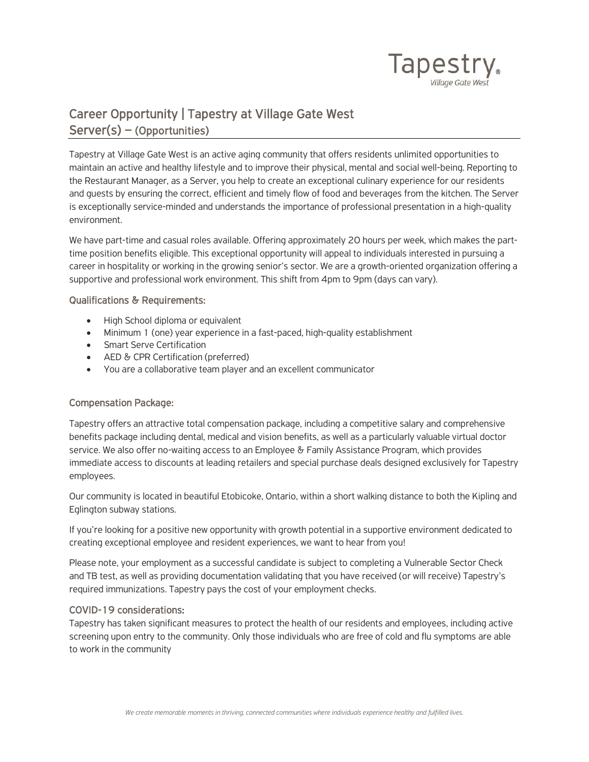

## Career Opportunity | Tapestry at Village Gate West Server(s) – (Opportunities)

Tapestry at Village Gate West is an active aging community that offers residents unlimited opportunities to maintain an active and healthy lifestyle and to improve their physical, mental and social well-being. Reporting to the Restaurant Manager, as a Server, you help to create an exceptional culinary experience for our residents and guests by ensuring the correct, efficient and timely flow of food and beverages from the kitchen. The Server is exceptionally service-minded and understands the importance of professional presentation in a high-quality environment.

We have part-time and casual roles available. Offering approximately 20 hours per week, which makes the parttime position benefits eligible. This exceptional opportunity will appeal to individuals interested in pursuing a career in hospitality or working in the growing senior's sector. We are a growth-oriented organization offering a supportive and professional work environment. This shift from 4pm to 9pm (days can vary).

## Qualifications & Requirements:

- High School diploma or equivalent
- Minimum 1 (one) year experience in a fast-paced, high-quality establishment
- Smart Serve Certification
- AED & CPR Certification (preferred)
- You are a collaborative team player and an excellent communicator

## Compensation Package:

Tapestry offers an attractive total compensation package, including a competitive salary and comprehensive benefits package including dental, medical and vision benefits, as well as a particularly valuable virtual doctor service. We also offer no-waiting access to an Employee & Family Assistance Program, which provides immediate access to discounts at leading retailers and special purchase deals designed exclusively for Tapestry employees.

Our community is located in beautiful Etobicoke, Ontario, within a short walking distance to both the Kipling and Eglington subway stations.

If you're looking for a positive new opportunity with growth potential in a supportive environment dedicated to creating exceptional employee and resident experiences, we want to hear from you!

Please note, your employment as a successful candidate is subject to completing a Vulnerable Sector Check and TB test, as well as providing documentation validating that you have received (or will receive) Tapestry's required immunizations. Tapestry pays the cost of your employment checks.

## COVID-19 considerations:

Tapestry has taken significant measures to protect the health of our residents and employees, including active screening upon entry to the community. Only those individuals who are free of cold and flu symptoms are able to work in the community